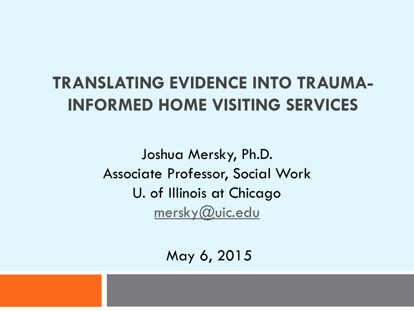#### **TRANSLATING EVIDENCE INTO TRAUMA-INFORMED HOME VISITING SERVICES**

Joshua Mersky, Ph.D. Associate Professor, Social Work U. of Illinois at Chicago [mersky@uic.edu](mailto:mersky@uic.edu)

May 6, 2015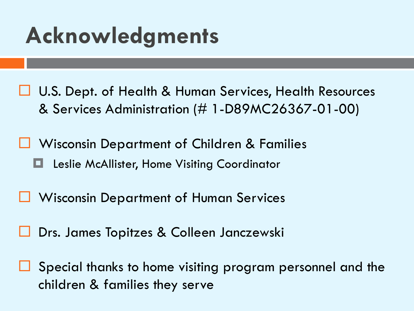#### **Acknowledgments**

- **□ U.S. Dept. of Health & Human Services, Health Resources** & Services Administration (# 1-D89MC26367-01-00)
- Wisconsin Department of Children & Families Leslie McAllister, Home Visiting Coordinator
- **U** Wisconsin Department of Human Services
	- Drs. James Topitzes & Colleen Janczewski
- Special thanks to home visiting program personnel and the children & families they serve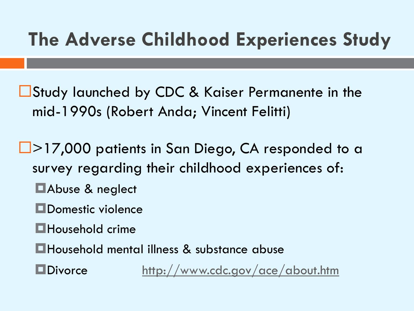#### **The Adverse Childhood Experiences Study**

■Study launched by CDC & Kaiser Permanente in the mid-1990s (Robert Anda; Vincent Felitti)

□>17,000 patients in San Diego, CA responded to a survey regarding their childhood experiences of: **E**Abuse & neglect

- **ODOMESTIC violence**
- **Household crime**
- Household mental illness & substance abuse

**ODivorce** <http://www.cdc.gov/ace/about.htm>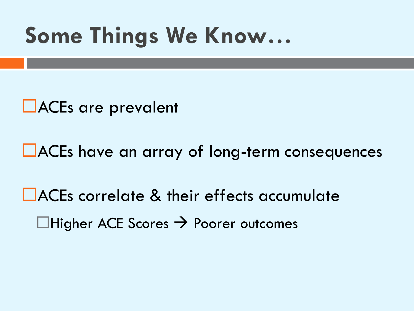#### **Some Things We Know…**

**LACEs are prevalent** 

■ACEs have an array of long-term consequences

■ ACEs correlate & their effects accumulate  $\Box$ Higher ACE Scores  $\rightarrow$  Poorer outcomes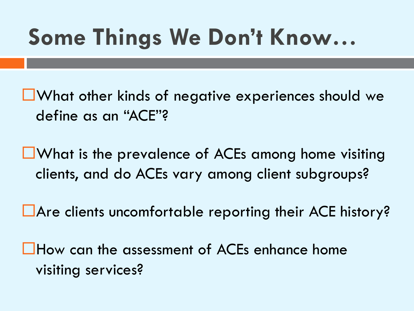# **Some Things We Don't Know…**

- **L**What other kinds of negative experiences should we define as an "ACE"?
- **L**What is the prevalence of ACEs among home visiting clients, and do ACEs vary among client subgroups?
- Are clients uncomfortable reporting their ACE history?

**L**How can the assessment of ACEs enhance home visiting services?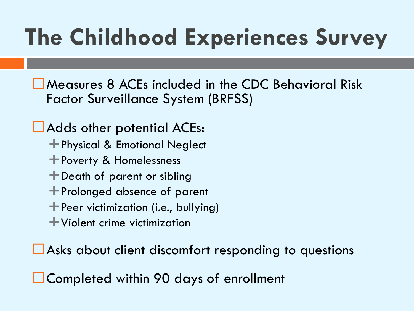# **The Childhood Experiences Survey**

Measures 8 ACEs included in the CDC Behavioral Risk Factor Surveillance System (BRFSS)

#### **LAdds other potential ACEs:**

- Physical & Emotional Neglect
- Poverty & Homelessness
- Death of parent or sibling
- Prolonged absence of parent
- $\dashv$  Peer victimization (i.e., bullying)
- Violent crime victimization

■ Asks about client discomfort responding to questions

■ Completed within 90 days of enrollment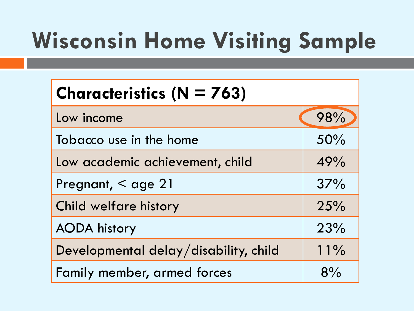# **Wisconsin Home Visiting Sample**

| <b>Characteristics (<math>N = 763</math>)</b> |        |
|-----------------------------------------------|--------|
| Low income                                    | 98%    |
| Tobacco use in the home                       | 50%    |
| Low academic achievement, child               | 49%    |
| Pregnant, < age 21                            | 37%    |
| Child welfare history                         | 25%    |
| <b>AODA</b> history                           | 23%    |
| Developmental delay/disability, child         | $11\%$ |
| Family member, armed forces                   | 8%     |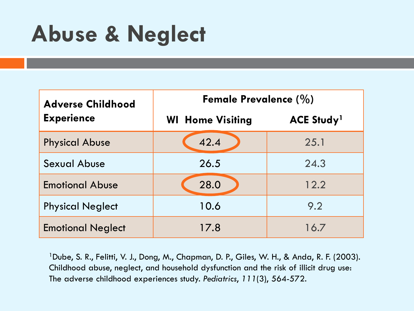#### **Abuse & Neglect**

| <b>Adverse Childhood</b> | Female Prevalence $(\%)$ |                               |  |  |
|--------------------------|--------------------------|-------------------------------|--|--|
| <b>Experience</b>        | <b>WI</b> Home Visiting  | <b>ACE Study</b> <sup>1</sup> |  |  |
| <b>Physical Abuse</b>    | 42.4                     | 25.1                          |  |  |
| <b>Sexual Abuse</b>      | 26.5                     | 24.3                          |  |  |
| <b>Emotional Abuse</b>   | 28.0                     | 12.2                          |  |  |
| <b>Physical Neglect</b>  | 10.6                     | 9.2                           |  |  |
| <b>Emotional Neglect</b> | 17.8                     | 16.7                          |  |  |

<sup>1</sup>Dube, S. R., Felitti, V. J., Dong, M., Chapman, D. P., Giles, W. H., & Anda, R. F. (2003). Childhood abuse, neglect, and household dysfunction and the risk of illicit drug use: The adverse childhood experiences study. *Pediatrics*, *111*(3), 564-572.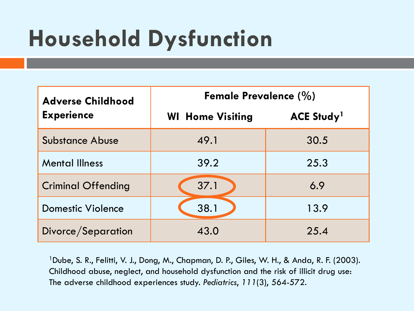## **Household Dysfunction**

| <b>Adverse Childhood</b>  | Female Prevalence $(\%)$ |                               |  |  |
|---------------------------|--------------------------|-------------------------------|--|--|
| <b>Experience</b>         | <b>WI Home Visiting</b>  | <b>ACE Study</b> <sup>1</sup> |  |  |
| <b>Substance Abuse</b>    | 49.1                     | 30.5                          |  |  |
| <b>Mental Illness</b>     | 39.2                     | 25.3                          |  |  |
| <b>Criminal Offending</b> | 37.1                     | 6.9                           |  |  |
| <b>Domestic Violence</b>  | 38.1                     | 13.9                          |  |  |
| Divorce/Separation        | 43.0                     | 25.4                          |  |  |

<sup>1</sup>Dube, S. R., Felitti, V. J., Dong, M., Chapman, D. P., Giles, W. H., & Anda, R. F. (2003). Childhood abuse, neglect, and household dysfunction and the risk of illicit drug use: The adverse childhood experiences study. *Pediatrics*, *111*(3), 564-572.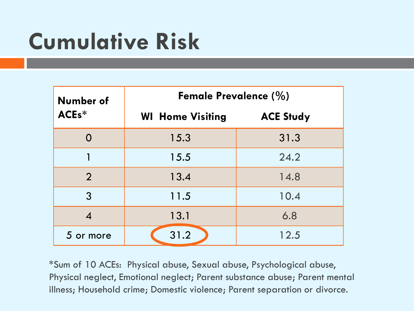# **Cumulative Risk**

| Number of                                     | <b>Female Prevalence (%)</b> |                  |  |
|-----------------------------------------------|------------------------------|------------------|--|
| ACE <sub>s</sub> *<br><b>WI</b> Home Visiting |                              | <b>ACE Study</b> |  |
|                                               | 15.3                         | 31.3             |  |
|                                               | 15.5                         | 24.2             |  |
| $\overline{2}$                                | 13.4                         | 14.8             |  |
| 3                                             | 11.5                         | 10.4             |  |
|                                               | 13.1                         | 6.8              |  |
| 5 or more                                     | 31.2                         | 12.5             |  |

\*Sum of 10 ACEs: Physical abuse, Sexual abuse, Psychological abuse, Physical neglect, Emotional neglect; Parent substance abuse; Parent mental illness; Household crime; Domestic violence; Parent separation or divorce.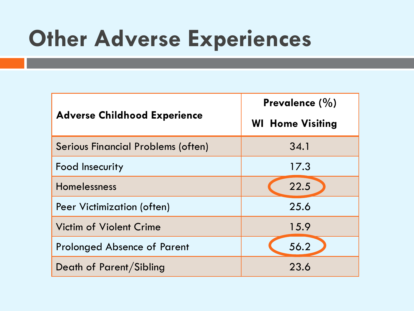## **Other Adverse Experiences**

| <b>Adverse Childhood Experience</b> | Prevalence $(\% )$<br><b>WI</b> Home Visiting |
|-------------------------------------|-----------------------------------------------|
| Serious Financial Problems (often)  | 34.1                                          |
| Food Insecurity                     | 17.3                                          |
| Homelessness                        | 22.5                                          |
| <b>Peer Victimization (often)</b>   | 25.6                                          |
| <b>Victim of Violent Crime</b>      | 15.9                                          |
| <b>Prolonged Absence of Parent</b>  | 56.2                                          |
| Death of Parent/Sibling             | 23.6                                          |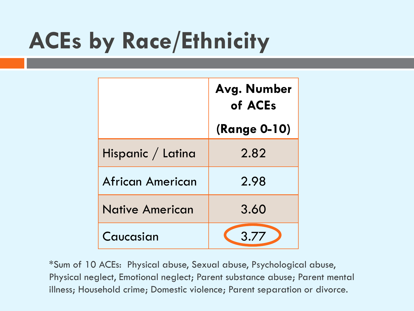# **ACEs by Race/Ethnicity**

|                         | Avg. Number<br>of ACEs |  |
|-------------------------|------------------------|--|
|                         | <b>(Range 0-10)</b>    |  |
| Hispanic / Latina       | 2.82                   |  |
| <b>African American</b> | 2.98                   |  |
| Native American         | 3.60                   |  |
| Caucasian               | 3.77                   |  |

\*Sum of 10 ACEs: Physical abuse, Sexual abuse, Psychological abuse, Physical neglect, Emotional neglect; Parent substance abuse; Parent mental illness; Household crime; Domestic violence; Parent separation or divorce.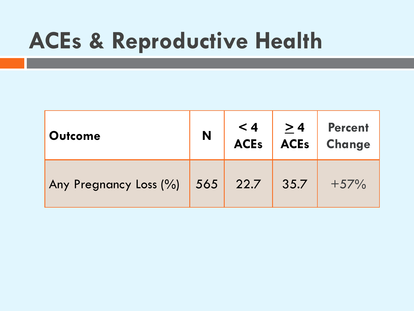#### **ACEs & Reproductive Health**

| <b>Outcome</b>         | N   | $< 4$<br>ACEs | $\geq 4$<br><b>ACEs</b> | <b>Percent</b><br>Change |
|------------------------|-----|---------------|-------------------------|--------------------------|
| Any Pregnancy Loss (%) | 565 | 22.7          | 35.7                    | $+57%$                   |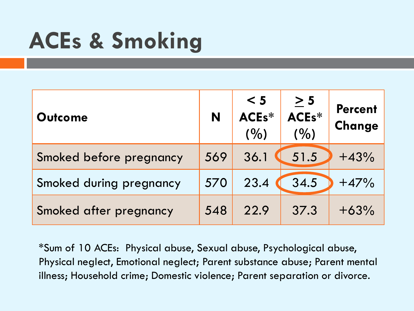# **ACEs & Smoking**

| <b>Outcome</b>          | N   | < 5<br>ACEs*<br>(9/0) | $\geq 5$<br>ACE <sub>s</sub> *<br>(9/0) | <b>Percent</b><br>Change |
|-------------------------|-----|-----------------------|-----------------------------------------|--------------------------|
| Smoked before pregnancy | 569 | 36.1                  | 51.5                                    | $+43%$                   |
| Smoked during pregnancy | 570 | 23.4                  | 34.5                                    | $+47%$                   |
| Smoked after pregnancy  | 548 | 22.9                  | 37.3                                    | $+63%$                   |

\*Sum of 10 ACEs: Physical abuse, Sexual abuse, Psychological abuse, Physical neglect, Emotional neglect; Parent substance abuse; Parent mental illness; Household crime; Domestic violence; Parent separation or divorce.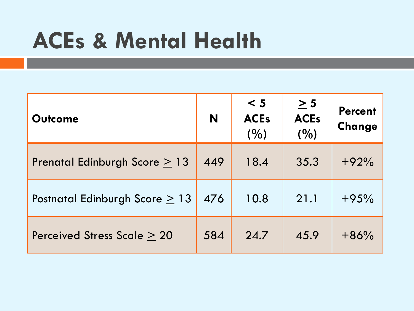#### **ACEs & Mental Health**

| <b>Outcome</b>                      | N   | < 5<br><b>ACEs</b><br>(%) | $\geq 5$<br><b>ACEs</b><br>(%) | <b>Percent</b><br>Change |
|-------------------------------------|-----|---------------------------|--------------------------------|--------------------------|
| Prenatal Edinburgh Score $\geq 13$  | 449 | 18.4                      | 35.3                           | $+92%$                   |
| Postnatal Edinburgh Score $\geq 13$ | 476 | 10.8                      | 21.1                           | $+95%$                   |
| Perceived Stress Scale > 20         | 584 | 24.7                      | 45.9                           | $+86%$                   |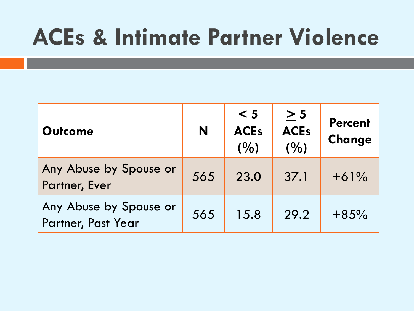#### **ACEs & Intimate Partner Violence**

| <b>Outcome</b>                               | N   | < 5<br><b>ACEs</b><br>(9/0) | $\geq 5$<br><b>ACEs</b><br>(9/0) | <b>Percent</b><br>Change |
|----------------------------------------------|-----|-----------------------------|----------------------------------|--------------------------|
| Any Abuse by Spouse or<br>Partner, Ever      | 565 | 23.0                        | 37.1                             | $+61%$                   |
| Any Abuse by Spouse or<br>Partner, Past Year | 565 | 15.8                        | 29.2                             | $+85%$                   |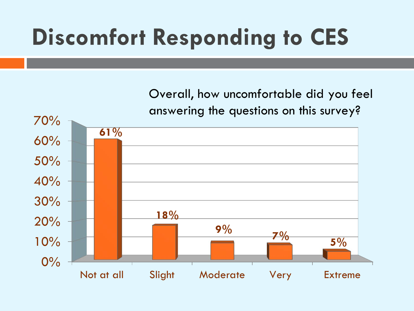# **Discomfort Responding to CES**

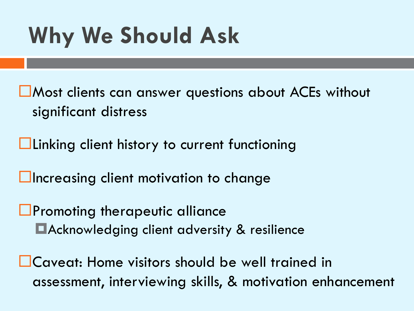# **Why We Should Ask**

- Most clients can answer questions about ACEs without significant distress
- **Linking client history to current functioning**
- $\Box$ Increasing client motivation to change
- **Promoting therapeutic alliance** Acknowledging client adversity & resilience
- **L**Caveat: Home visitors should be well trained in assessment, interviewing skills, & motivation enhancement